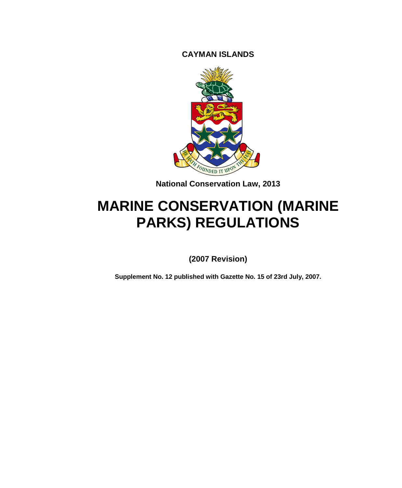**CAYMAN ISLANDS**



**National Conservation Law, 2013**

# **MARINE CONSERVATION (MARINE PARKS) REGULATIONS**

**(2007 Revision)**

**Supplement No. 12 published with Gazette No. 15 of 23rd July, 2007.**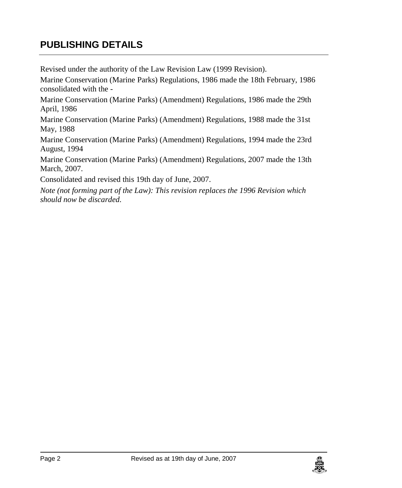## **PUBLISHING DETAILS**

Revised under the authority of the Law Revision Law (1999 Revision).

Marine Conservation (Marine Parks) Regulations, 1986 made the 18th February, 1986 consolidated with the -

Marine Conservation (Marine Parks) (Amendment) Regulations, 1986 made the 29th April, 1986

Marine Conservation (Marine Parks) (Amendment) Regulations, 1988 made the 31st May, 1988

Marine Conservation (Marine Parks) (Amendment) Regulations, 1994 made the 23rd August, 1994

Marine Conservation (Marine Parks) (Amendment) Regulations, 2007 made the 13th March, 2007.

Consolidated and revised this 19th day of June, 2007.

*Note (not forming part of the Law): This revision replaces the 1996 Revision which should now be discarded.*

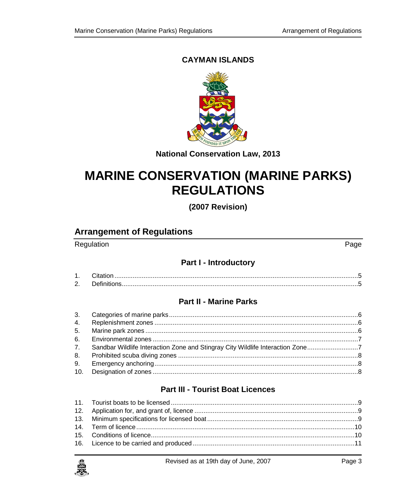### **CAYMAN ISLANDS**



**National Conservation Law, 2013** 

# **MARINE CONSERVATION (MARINE PARKS) REGULATIONS**

(2007 Revision)

## **Arrangement of Regulations**

#### Regulation

 $Page$ 

#### **Part I - Introductory**

#### **Part II - Marine Parks**

| 7. Sandbar Wildlife Interaction Zone and Stingray City Wildlife Interaction Zone7 |  |
|-----------------------------------------------------------------------------------|--|
|                                                                                   |  |
|                                                                                   |  |
|                                                                                   |  |

#### **Part III - Tourist Boat Licences**

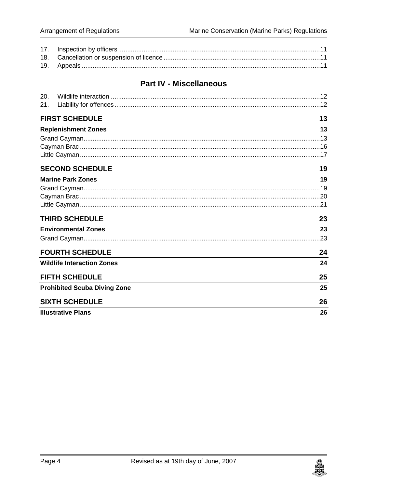### **Part IV - Miscellaneous**

| 20. |                                     |    |
|-----|-------------------------------------|----|
| 21. |                                     |    |
|     | <b>FIRST SCHEDULE</b>               | 13 |
|     | <b>Replenishment Zones</b>          | 13 |
|     |                                     |    |
|     |                                     |    |
|     |                                     |    |
|     | <b>SECOND SCHEDULE</b>              | 19 |
|     | <b>Marine Park Zones</b>            | 19 |
|     |                                     |    |
|     |                                     |    |
|     |                                     |    |
|     | <b>THIRD SCHEDULE</b>               | 23 |
|     | <b>Environmental Zones</b>          | 23 |
|     |                                     |    |
|     | <b>FOURTH SCHEDULE</b>              | 24 |
|     | <b>Wildlife Interaction Zones</b>   | 24 |
|     | <b>FIFTH SCHEDULE</b>               | 25 |
|     | <b>Prohibited Scuba Diving Zone</b> | 25 |
|     | <b>SIXTH SCHEDULE</b>               | 26 |
|     | <b>Illustrative Plans</b>           | 26 |

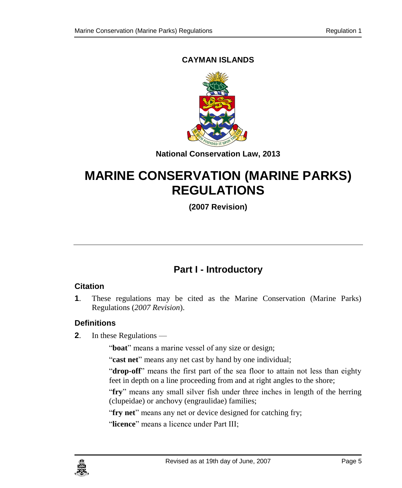### **CAYMAN ISLANDS**



**National Conservation Law, 2013**

# **MARINE CONSERVATION (MARINE PARKS) REGULATIONS**

**(2007 Revision)**

## **Part I - Introductory**

#### <span id="page-4-1"></span><span id="page-4-0"></span>**1. Citation**

**1**. These regulations may be cited as the Marine Conservation (Marine Parks) Regulations (*2007 Revision*).

### <span id="page-4-2"></span>**2. Definitions**

**2**. In these Regulations —

"boat" means a marine vessel of any size or design;

"**cast net**" means any net cast by hand by one individual;

"**drop-off**" means the first part of the sea floor to attain not less than eighty feet in depth on a line proceeding from and at right angles to the shore;

"**fry**" means any small silver fish under three inches in length of the herring (clupeidae) or anchovy (engraulidae) families;

"**fry net**" means any net or device designed for catching fry;

"**licence**" means a licence under Part III;

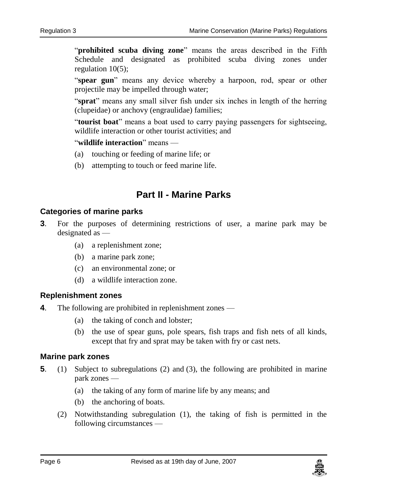"**prohibited scuba diving zone**" means the areas described in the Fifth Schedule and designated as prohibited scuba diving zones under regulation 10(5);

"**spear gun**" means any device whereby a harpoon, rod, spear or other projectile may be impelled through water;

"**sprat**" means any small silver fish under six inches in length of the herring (clupeidae) or anchovy (engraulidae) families;

"**tourist boat**" means a boat used to carry paying passengers for sightseeing, wildlife interaction or other tourist activities; and

#### "**wildlife interaction**" means —

- (a) touching or feeding of marine life; or
- (b) attempting to touch or feed marine life.

## **Part II - Marine Parks**

#### <span id="page-5-1"></span><span id="page-5-0"></span>**3. Categories of marine parks**

- **3**. For the purposes of determining restrictions of user, a marine park may be designated as —
	- (a) a replenishment zone;
	- (b) a marine park zone;
	- (c) an environmental zone; or
	- (d) a wildlife interaction zone.

#### <span id="page-5-2"></span>**4. Replenishment zones**

- **4**. The following are prohibited in replenishment zones
	- (a) the taking of conch and lobster;
	- (b) the use of spear guns, pole spears, fish traps and fish nets of all kinds, except that fry and sprat may be taken with fry or cast nets.

#### <span id="page-5-3"></span>**5. Marine park zones**

- **5**. (1) Subject to subregulations (2) and (3), the following are prohibited in marine park zones —
	- (a) the taking of any form of marine life by any means; and
	- (b) the anchoring of boats.
	- (2) Notwithstanding subregulation (1), the taking of fish is permitted in the following circumstances —

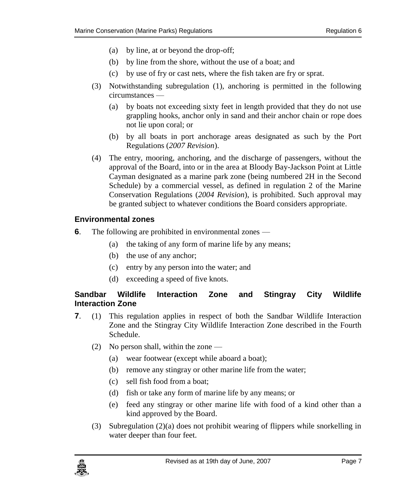- (a) by line, at or beyond the drop-off;
- (b) by line from the shore, without the use of a boat; and
- (c) by use of fry or cast nets, where the fish taken are fry or sprat.
- (3) Notwithstanding subregulation (1), anchoring is permitted in the following circumstances —
	- (a) by boats not exceeding sixty feet in length provided that they do not use grappling hooks, anchor only in sand and their anchor chain or rope does not lie upon coral; or
	- (b) by all boats in port anchorage areas designated as such by the Port Regulations (*2007 Revision*).
- (4) The entry, mooring, anchoring, and the discharge of passengers, without the approval of the Board, into or in the area at Bloody Bay-Jackson Point at Little Cayman designated as a marine park zone (being numbered 2H in the Second Schedule) by a commercial vessel, as defined in regulation 2 of the Marine Conservation Regulations (*2004 Revision*), is prohibited. Such approval may be granted subject to whatever conditions the Board considers appropriate.

#### <span id="page-6-0"></span>**6. Environmental zones**

- **6**. The following are prohibited in environmental zones
	- (a) the taking of any form of marine life by any means;
	- (b) the use of any anchor;
	- (c) entry by any person into the water; and
	- (d) exceeding a speed of five knots.

#### <span id="page-6-1"></span>**7. Sandbar Wildlife Interaction Zone and Stingray City Wildlife Interaction Zone**

- **7**. (1) This regulation applies in respect of both the Sandbar Wildlife Interaction Zone and the Stingray City Wildlife Interaction Zone described in the Fourth Schedule.
	- (2) No person shall, within the zone
		- (a) wear footwear (except while aboard a boat);
		- (b) remove any stingray or other marine life from the water;
		- (c) sell fish food from a boat;
		- (d) fish or take any form of marine life by any means; or
		- (e) feed any stingray or other marine life with food of a kind other than a kind approved by the Board.
	- (3) Subregulation (2)(a) does not prohibit wearing of flippers while snorkelling in water deeper than four feet.

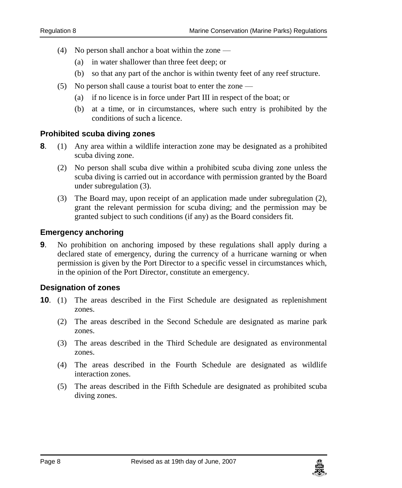- (4) No person shall anchor a boat within the zone
	- (a) in water shallower than three feet deep; or
	- (b) so that any part of the anchor is within twenty feet of any reef structure.
- (5) No person shall cause a tourist boat to enter the zone
	- (a) if no licence is in force under Part III in respect of the boat; or
	- (b) at a time, or in circumstances, where such entry is prohibited by the conditions of such a licence.

#### <span id="page-7-0"></span>**8. Prohibited scuba diving zones**

- **8**. (1) Any area within a wildlife interaction zone may be designated as a prohibited scuba diving zone.
	- (2) No person shall scuba dive within a prohibited scuba diving zone unless the scuba diving is carried out in accordance with permission granted by the Board under subregulation (3).
	- (3) The Board may, upon receipt of an application made under subregulation (2), grant the relevant permission for scuba diving; and the permission may be granted subject to such conditions (if any) as the Board considers fit.

#### <span id="page-7-1"></span>**9. Emergency anchoring**

**9**. No prohibition on anchoring imposed by these regulations shall apply during a declared state of emergency, during the currency of a hurricane warning or when permission is given by the Port Director to a specific vessel in circumstances which, in the opinion of the Port Director, constitute an emergency.

#### <span id="page-7-2"></span>**10. Designation of zones**

- **10**. (1) The areas described in the First Schedule are designated as replenishment zones.
	- (2) The areas described in the Second Schedule are designated as marine park zones.
	- (3) The areas described in the Third Schedule are designated as environmental zones.
	- (4) The areas described in the Fourth Schedule are designated as wildlife interaction zones.
	- (5) The areas described in the Fifth Schedule are designated as prohibited scuba diving zones.

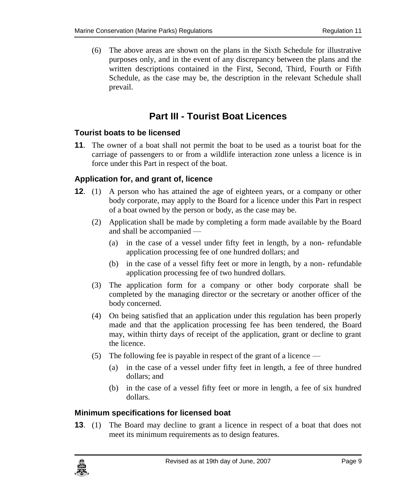(6) The above areas are shown on the plans in the Sixth Schedule for illustrative purposes only, and in the event of any discrepancy between the plans and the written descriptions contained in the First, Second, Third, Fourth or Fifth Schedule, as the case may be, the description in the relevant Schedule shall prevail.

## **Part III - Tourist Boat Licences**

#### <span id="page-8-1"></span><span id="page-8-0"></span>**11. Tourist boats to be licensed**

**11**. The owner of a boat shall not permit the boat to be used as a tourist boat for the carriage of passengers to or from a wildlife interaction zone unless a licence is in force under this Part in respect of the boat.

#### <span id="page-8-2"></span>**12. Application for, and grant of, licence**

- **12**. (1) A person who has attained the age of eighteen years, or a company or other body corporate, may apply to the Board for a licence under this Part in respect of a boat owned by the person or body, as the case may be.
	- (2) Application shall be made by completing a form made available by the Board and shall be accompanied —
		- (a) in the case of a vessel under fifty feet in length, by a non- refundable application processing fee of one hundred dollars; and
		- (b) in the case of a vessel fifty feet or more in length, by a non- refundable application processing fee of two hundred dollars.
	- (3) The application form for a company or other body corporate shall be completed by the managing director or the secretary or another officer of the body concerned.
	- (4) On being satisfied that an application under this regulation has been properly made and that the application processing fee has been tendered, the Board may, within thirty days of receipt of the application, grant or decline to grant the licence.
	- (5) The following fee is payable in respect of the grant of a licence
		- (a) in the case of a vessel under fifty feet in length, a fee of three hundred dollars; and
		- (b) in the case of a vessel fifty feet or more in length, a fee of six hundred dollars.

#### <span id="page-8-3"></span>**13. Minimum specifications for licensed boat**

**13**. (1) The Board may decline to grant a licence in respect of a boat that does not meet its minimum requirements as to design features.

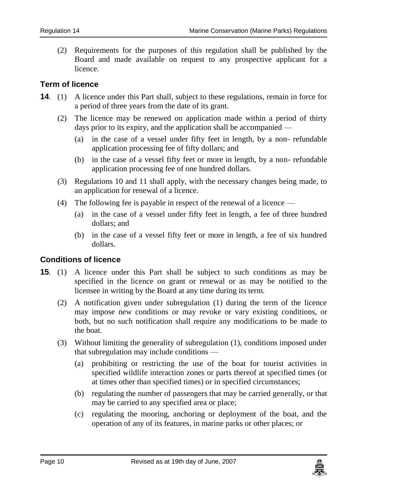(2) Requirements for the purposes of this regulation shall be published by the Board and made available on request to any prospective applicant for a licence.

#### <span id="page-9-0"></span>**14. Term of licence**

- **14**. (1) A licence under this Part shall, subject to these regulations, remain in force for a period of three years from the date of its grant.
	- (2) The licence may be renewed on application made within a period of thirty days prior to its expiry, and the application shall be accompanied —
		- (a) in the case of a vessel under fifty feet in length, by a non- refundable application processing fee of fifty dollars; and
		- (b) in the case of a vessel fifty feet or more in length, by a non- refundable application processing fee of one hundred dollars.
	- (3) Regulations 10 and 11 shall apply, with the necessary changes being made, to an application for renewal of a licence.
	- (4) The following fee is payable in respect of the renewal of a licence
		- (a) in the case of a vessel under fifty feet in length, a fee of three hundred dollars; and
		- (b) in the case of a vessel fifty feet or more in length, a fee of six hundred dollars.

#### <span id="page-9-1"></span>**15. Conditions of licence**

- **15**. (1) A licence under this Part shall be subject to such conditions as may be specified in the licence on grant or renewal or as may be notified to the licensee in writing by the Board at any time during its term.
	- (2) A notification given under subregulation (1) during the term of the licence may impose new conditions or may revoke or vary existing conditions, or both, but no such notification shall require any modifications to be made to the boat.
	- (3) Without limiting the generality of subregulation (1), conditions imposed under that subregulation may include conditions —
		- (a) prohibiting or restricting the use of the boat for tourist activities in specified wildlife interaction zones or parts thereof at specified times (or at times other than specified times) or in specified circumstances;
		- (b) regulating the number of passengers that may be carried generally, or that may be carried to any specified area or place;
		- (c) regulating the mooring, anchoring or deployment of the boat, and the operation of any of its features, in marine parks or other places; or

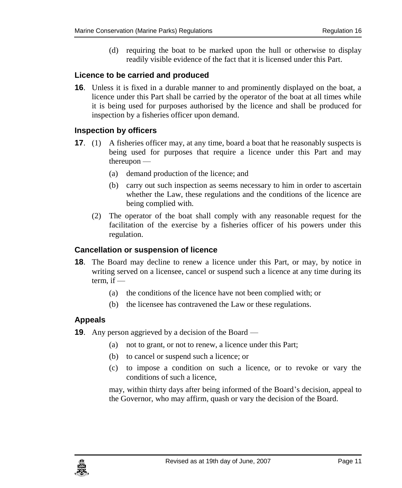(d) requiring the boat to be marked upon the hull or otherwise to display readily visible evidence of the fact that it is licensed under this Part.

#### <span id="page-10-0"></span>**16. Licence to be carried and produced**

**16**. Unless it is fixed in a durable manner to and prominently displayed on the boat, a licence under this Part shall be carried by the operator of the boat at all times while it is being used for purposes authorised by the licence and shall be produced for inspection by a fisheries officer upon demand.

#### <span id="page-10-1"></span>**17. Inspection by officers**

- **17.** (1) A fisheries officer may, at any time, board a boat that he reasonably suspects is being used for purposes that require a licence under this Part and may thereupon —
	- (a) demand production of the licence; and
	- (b) carry out such inspection as seems necessary to him in order to ascertain whether the Law, these regulations and the conditions of the licence are being complied with.
	- (2) The operator of the boat shall comply with any reasonable request for the facilitation of the exercise by a fisheries officer of his powers under this regulation.

#### <span id="page-10-2"></span>**18. Cancellation or suspension of licence**

- **18**. The Board may decline to renew a licence under this Part, or may, by notice in writing served on a licensee, cancel or suspend such a licence at any time during its term, if  $-$ 
	- (a) the conditions of the licence have not been complied with; or
	- (b) the licensee has contravened the Law or these regulations.

#### <span id="page-10-3"></span>**19. Appeals**

- **19**. Any person aggrieved by a decision of the Board
	- (a) not to grant, or not to renew, a licence under this Part;
	- (b) to cancel or suspend such a licence; or
	- (c) to impose a condition on such a licence, or to revoke or vary the conditions of such a licence,

may, within thirty days after being informed of the Board's decision, appeal to the Governor, who may affirm, quash or vary the decision of the Board.

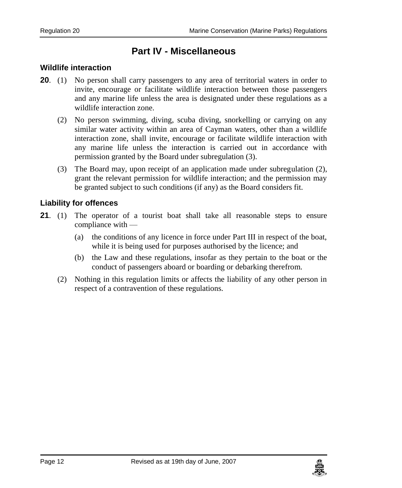## **Part IV - Miscellaneous**

#### <span id="page-11-1"></span><span id="page-11-0"></span>**20. Wildlife interaction**

- **20**. (1) No person shall carry passengers to any area of territorial waters in order to invite, encourage or facilitate wildlife interaction between those passengers and any marine life unless the area is designated under these regulations as a wildlife interaction zone.
	- (2) No person swimming, diving, scuba diving, snorkelling or carrying on any similar water activity within an area of Cayman waters, other than a wildlife interaction zone, shall invite, encourage or facilitate wildlife interaction with any marine life unless the interaction is carried out in accordance with permission granted by the Board under subregulation (3).
	- (3) The Board may, upon receipt of an application made under subregulation (2), grant the relevant permission for wildlife interaction; and the permission may be granted subject to such conditions (if any) as the Board considers fit.

#### <span id="page-11-2"></span>**21. Liability for offences**

- **21**. (1) The operator of a tourist boat shall take all reasonable steps to ensure compliance with —
	- (a) the conditions of any licence in force under Part III in respect of the boat, while it is being used for purposes authorised by the licence; and
	- (b) the Law and these regulations, insofar as they pertain to the boat or the conduct of passengers aboard or boarding or debarking therefrom.
	- (2) Nothing in this regulation limits or affects the liability of any other person in respect of a contravention of these regulations.

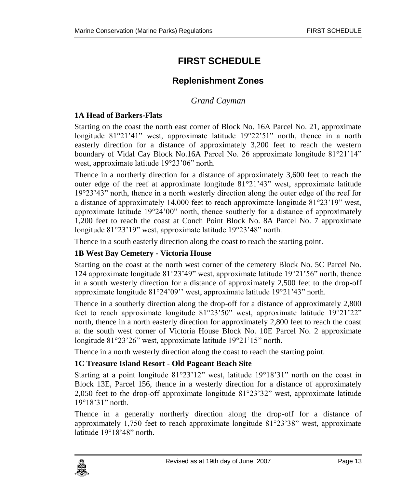## <span id="page-12-0"></span>**FIRST SCHEDULE**

### **Replenishment Zones**

*Grand Cayman*

#### <span id="page-12-2"></span><span id="page-12-1"></span>**1A Head of Barkers-Flats**

Starting on the coast the north east corner of Block No. 16A Parcel No. 21, approximate longitude  $81^{\circ}21'41'$  west, approximate latitude  $19^{\circ}22'51'$  north, thence in a north easterly direction for a distance of approximately 3,200 feet to reach the western boundary of Vidal Cay Block No.16A Parcel No. 26 approximate longitude 81°21'14" west, approximate latitude 19°23'06" north.

Thence in a northerly direction for a distance of approximately 3,600 feet to reach the outer edge of the reef at approximate longitude 81°21'43" west, approximate latitude 19°23'43" north, thence in a north westerly direction along the outer edge of the reef for a distance of approximately 14,000 feet to reach approximate longitude 81°23'19" west, approximate latitude 19°24'00" north, thence southerly for a distance of approximately 1,200 feet to reach the coast at Conch Point Block No. 8A Parcel No. 7 approximate longitude 81°23'19" west, approximate latitude 19°23'48" north.

Thence in a south easterly direction along the coast to reach the starting point.

#### **1B West Bay Cemetery - Victoria House**

Starting on the coast at the north west corner of the cemetery Block No. 5C Parcel No. 124 approximate longitude 81°23'49" west, approximate latitude 19°21'56" north, thence in a south westerly direction for a distance of approximately 2,500 feet to the drop-off approximate longitude 81°24'09'' west, approximate latitude 19°21'43" north.

Thence in a southerly direction along the drop-off for a distance of approximately 2,800 feet to reach approximate longitude 81°23'50" west, approximate latitude 19°21'22" north, thence in a north easterly direction for approximately 2,800 feet to reach the coast at the south west corner of Victoria House Block No. 10E Parcel No. 2 approximate longitude 81°23'26" west, approximate latitude 19°21'15" north.

Thence in a north westerly direction along the coast to reach the starting point.

#### **1C Treasure Island Resort - Old Pageant Beach Site**

Starting at a point longitude 81°23'12" west, latitude 19°18'31" north on the coast in Block 13E, Parcel 156, thence in a westerly direction for a distance of approximately 2,050 feet to the drop-off approximate longitude 81°23'32" west, approximate latitude 19°18'31" north.

Thence in a generally northerly direction along the drop-off for a distance of approximately 1,750 feet to reach approximate longitude 81°23'38" west, approximate latitude 19°18'48" north.

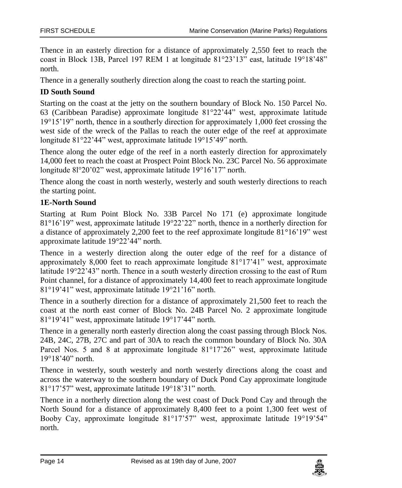Thence in an easterly direction for a distance of approximately 2,550 feet to reach the coast in Block 13B, Parcel 197 REM 1 at longitude 81°23'13" east, latitude 19°18'48" north.

Thence in a generally southerly direction along the coast to reach the starting point.

#### **ID South Sound**

Starting on the coast at the jetty on the southern boundary of Block No. 150 Parcel No. 63 (Caribbean Paradise) approximate longitude 81°22'44" west, approximate latitude 19°15'19" north, thence in a southerly direction for approximately 1,000 feet crossing the west side of the wreck of the Pallas to reach the outer edge of the reef at approximate longitude 81°22'44" west, approximate latitude 19°15'49" north.

Thence along the outer edge of the reef in a north easterly direction for approximately 14,000 feet to reach the coast at Prospect Point Block No. 23C Parcel No. 56 approximate longitude 8l°20'02" west, approximate latitude 19°16'17" north.

Thence along the coast in north westerly, westerly and south westerly directions to reach the starting point.

#### **1E-North Sound**

Starting at Rum Point Block No. 33B Parcel No 171 (e) approximate longitude 81°16'19" west, approximate latitude 19°22'22" north, thence in a northerly direction for a distance of approximately 2,200 feet to the reef approximate longitude 81°16'19" west approximate latitude 19°22'44" north.

Thence in a westerly direction along the outer edge of the reef for a distance of approximately 8,000 feet to reach approximate longitude 81°17'41" west, approximate latitude 19°22'43" north. Thence in a south westerly direction crossing to the east of Rum Point channel, for a distance of approximately 14,400 feet to reach approximate longitude 81°19'41" west, approximate latitude 19°21'16" north.

Thence in a southerly direction for a distance of approximately 21,500 feet to reach the coast at the north east corner of Block No. 24B Parcel No. 2 approximate longitude 81°19'41" west, approximate latitude 19°17'44" north.

Thence in a generally north easterly direction along the coast passing through Block Nos. 24B, 24C, 27B, 27C and part of 30A to reach the common boundary of Block No. 30A Parcel Nos. 5 and 8 at approximate longitude 81°17'26" west, approximate latitude 19°18'40" north.

Thence in westerly, south westerly and north westerly directions along the coast and across the waterway to the southern boundary of Duck Pond Cay approximate longitude 81°17'57" west, approximate latitude 19°18'31" north.

Thence in a northerly direction along the west coast of Duck Pond Cay and through the North Sound for a distance of approximately 8,400 feet to a point 1,300 feet west of Booby Cay, approximate longitude 81°17'57" west, approximate latitude 19°19'54" north.

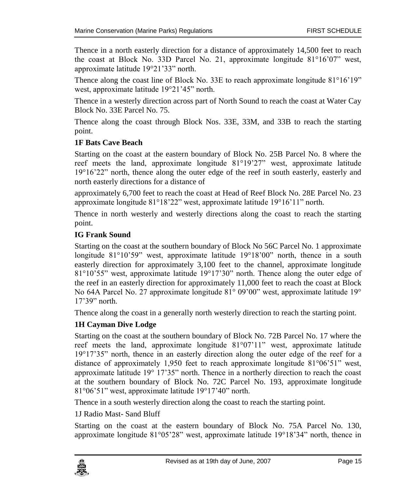Thence in a north easterly direction for a distance of approximately 14,500 feet to reach the coast at Block No. 33D Parcel No. 21, approximate longitude 81°16'07" west, approximate latitude 19°21'33" north.

Thence along the coast line of Block No. 33E to reach approximate longitude 81°16'19" west, approximate latitude 19°21'45" north.

Thence in a westerly direction across part of North Sound to reach the coast at Water Cay Block No. 33E Parcel No. 75.

Thence along the coast through Block Nos. 33E, 33M, and 33B to reach the starting point.

#### **1F Bats Cave Beach**

Starting on the coast at the eastern boundary of Block No. 25B Parcel No. 8 where the reef meets the land, approximate longitude 81°19'27" west, approximate latitude 19°16'22" north, thence along the outer edge of the reef in south easterly, easterly and north easterly directions for a distance of

approximately 6,700 feet to reach the coast at Head of Reef Block No. 28E Parcel No. 23 approximate longitude 81°18'22" west, approximate latitude 19°16'11" north.

Thence in north westerly and westerly directions along the coast to reach the starting point.

#### **IG Frank Sound**

Starting on the coast at the southern boundary of Block No 56C Parcel No. 1 approximate longitude 81°10'59" west, approximate latitude 19°18'00" north, thence in a south easterly direction for approximately 3,100 feet to the channel, approximate longitude 81°10'55" west, approximate latitude 19°17'30" north. Thence along the outer edge of the reef in an easterly direction for approximately 11,000 feet to reach the coast at Block No 64A Parcel No. 27 approximate longitude 81° 09'00" west, approximate latitude 19° 17'39" north.

Thence along the coast in a generally north westerly direction to reach the starting point.

#### **1H Cayman Dive Lodge**

Starting on the coast at the southern boundary of Block No. 72B Parcel No. 17 where the reef meets the land, approximate longitude 81°07'11" west, approximate latitude 19°17'35" north, thence in an easterly direction along the outer edge of the reef for a distance of approximately 1,950 feet to reach approximate longitude 81°06'51" west, approximate latitude 19° 17'35" north. Thence in a northerly direction to reach the coast at the southern boundary of Block No. 72C Parcel No. 193, approximate longitude 81°06'51" west, approximate latitude 19°17'40" north.

Thence in a south westerly direction along the coast to reach the starting point.

1J Radio Mast- Sand Bluff

Starting on the coast at the eastern boundary of Block No. 75A Parcel No. 130, approximate longitude 81°05'28" west, approximate latitude 19°18'34" north, thence in

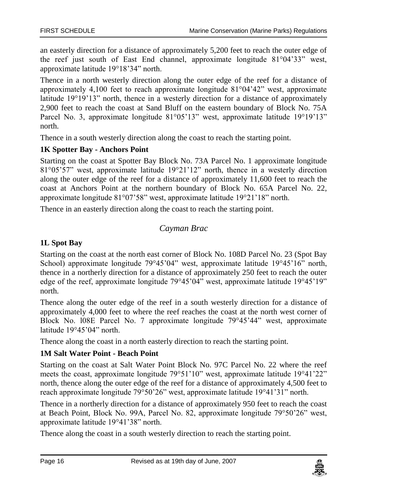an easterly direction for a distance of approximately 5,200 feet to reach the outer edge of the reef just south of East End channel, approximate longitude 81°04'33" west, approximate latitude 19°18'34" north.

Thence in a north westerly direction along the outer edge of the reef for a distance of approximately 4,100 feet to reach approximate longitude  $81^{\circ}04^{\prime}42^{\prime\prime}$  west, approximate latitude 19°19'13" north, thence in a westerly direction for a distance of approximately 2,900 feet to reach the coast at Sand Bluff on the eastern boundary of Block No. 75A Parcel No. 3, approximate longitude 81°05'13" west, approximate latitude 19°19'13" north.

Thence in a south westerly direction along the coast to reach the starting point.

#### **1K Spotter Bay - Anchors Point**

Starting on the coast at Spotter Bay Block No. 73A Parcel No. 1 approximate longitude 81°05'57" west, approximate latitude 19°21'12" north, thence in a westerly direction along the outer edge of the reef for a distance of approximately 11,600 feet to reach the coast at Anchors Point at the northern boundary of Block No. 65A Parcel No. 22, approximate longitude 81°07'58" west, approximate latitude 19°21'18" north.

<span id="page-15-0"></span>Thence in an easterly direction along the coast to reach the starting point.

#### *Cayman Brac*

#### **1L Spot Bay**

Starting on the coast at the north east corner of Block No. 108D Parcel No. 23 (Spot Bay School) approximate longitude 79°45'04" west, approximate latitude 19°45'16" north, thence in a northerly direction for a distance of approximately 250 feet to reach the outer edge of the reef, approximate longitude 79°45'04" west, approximate latitude 19°45'19" north.

Thence along the outer edge of the reef in a south westerly direction for a distance of approximately 4,000 feet to where the reef reaches the coast at the north west corner of Block No. l08E Parcel No. 7 approximate longitude 79°45'44" west, approximate latitude 19°45'04" north.

Thence along the coast in a north easterly direction to reach the starting point.

#### **1M Salt Water Point - Beach Point**

Starting on the coast at Salt Water Point Block No. 97C Parcel No. 22 where the reef meets the coast, approximate longitude 79°51'10" west, approximate latitude 19°41'22" north, thence along the outer edge of the reef for a distance of approximately 4,500 feet to reach approximate longitude 79°50'26" west, approximate latitude 19°41'31" north.

Thence in a northerly direction for a distance of approximately 950 feet to reach the coast at Beach Point, Block No. 99A, Parcel No. 82, approximate longitude 79°50'26" west, approximate latitude 19°41'38" north.

Thence along the coast in a south westerly direction to reach the starting point.

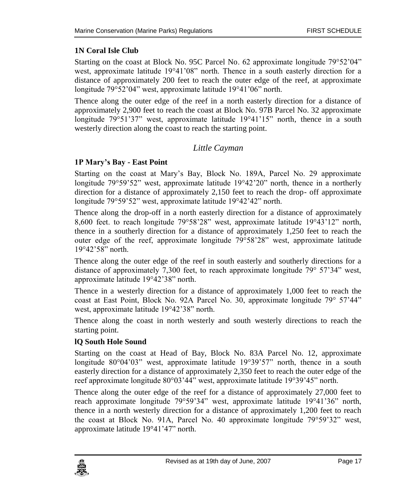#### **1N Coral Isle Club**

Starting on the coast at Block No. 95C Parcel No. 62 approximate longitude 79°52'04" west, approximate latitude 19°41'08" north. Thence in a south easterly direction for a distance of approximately 200 feet to reach the outer edge of the reef, at approximate longitude 79°52'04" west, approximate latitude 19°41'06" north.

Thence along the outer edge of the reef in a north easterly direction for a distance of approximately 2,900 feet to reach the coast at Block No. 97B Parcel No. 32 approximate longitude 79°51'37" west, approximate latitude 19°41'15" north, thence in a south westerly direction along the coast to reach the starting point.

#### *Little Cayman*

#### <span id="page-16-0"></span>**1P Mary's Bay - East Point**

Starting on the coast at Mary's Bay, Block No. 189A, Parcel No. 29 approximate longitude 79°59'52" west, approximate latitude 19°42'20" north, thence in a northerly direction for a distance of approximately 2,150 feet to reach the drop- off approximate longitude 79°59'52" west, approximate latitude 19°42'42" north.

Thence along the drop-off in a north easterly direction for a distance of approximately 8,600 feet. to reach longitude 79°58'28" west, approximate latitude 19°43'12" north, thence in a southerly direction for a distance of approximately 1,250 feet to reach the outer edge of the reef, approximate longitude 79°58'28" west, approximate latitude 19°42'58" north.

Thence along the outer edge of the reef in south easterly and southerly directions for a distance of approximately 7,300 feet, to reach approximate longitude 79° 57'34" west, approximate latitude 19°42'38" north.

Thence in a westerly direction for a distance of approximately 1,000 feet to reach the coast at East Point, Block No. 92A Parcel No. 30, approximate longitude 79° 57'44" west, approximate latitude 19°42'38" north.

Thence along the coast in north westerly and south westerly directions to reach the starting point.

#### **lQ South Hole Sound**

Starting on the coast at Head of Bay, Block No. 83A Parcel No. 12, approximate longitude 80°04'03" west, approximate latitude 19°39'57" north, thence in a south easterly direction for a distance of approximately 2,350 feet to reach the outer edge of the reef approximate longitude 80°03'44" west, approximate latitude 19°39'45" north.

Thence along the outer edge of the reef for a distance of approximately 27,000 feet to reach approximate longitude 79°59'34" west, approximate latitude 19°41'36" north, thence in a north westerly direction for a distance of approximately 1,200 feet to reach the coast at Block No. 91A, Parcel No. 40 approximate longitude 79°59'32" west, approximate latitude 19°41'47" north.

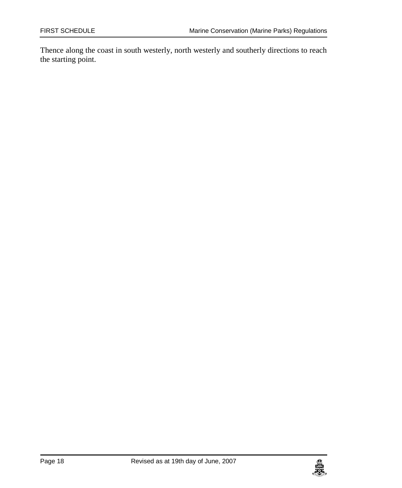Thence along the coast in south westerly, north westerly and southerly directions to reach the starting point.

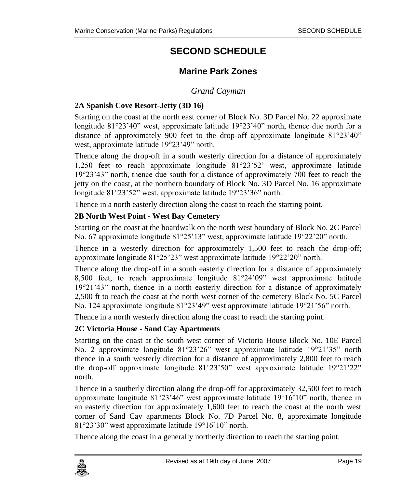## **SECOND SCHEDULE**

### **Marine Park Zones**

#### *Grand Cayman*

#### <span id="page-18-2"></span><span id="page-18-1"></span><span id="page-18-0"></span>**2A Spanish Cove Resort-Jetty (3D 16)**

Starting on the coast at the north east corner of Block No. 3D Parcel No. 22 approximate longitude 81°23'40" west, approximate latitude 19°23'40" north, thence due north for a distance of approximately 900 feet to the drop-off approximate longitude 81°23'40" west, approximate latitude 19°23'49" north.

Thence along the drop-off in a south westerly direction for a distance of approximately 1,250 feet to reach approximate longitude 81°23'52' west, approximate latitude 19°23'43" north, thence due south for a distance of approximately 700 feet to reach the jetty on the coast, at the northern boundary of Block No. 3D Parcel No. 16 approximate longitude 81°23'52" west, approximate latitude 19°23'36" north.

Thence in a north easterly direction along the coast to reach the starting point.

#### **2B North West Point - West Bay Cemetery**

Starting on the coast at the boardwalk on the north west boundary of Block No. 2C Parcel No. 67 approximate longitude 81°25'13" west, approximate latitude 19°22'20" north.

Thence in a westerly direction for approximately 1,500 feet to reach the drop-off; approximate longitude 81°25'23" west approximate latitude 19°22'20" north.

Thence along the drop-off in a south easterly direction for a distance of approximately 8,500 feet, to reach approximate longitude 81°24'09" west approximate latitude 19°21'43" north, thence in a north easterly direction for a distance of approximately 2,500 ft to reach the coast at the north west corner of the cemetery Block No. 5C Parcel No. 124 approximate longitude 81°23'49" west approximate latitude 19°21'56" north.

Thence in a north westerly direction along the coast to reach the starting point.

#### **2C Victoria House - Sand Cay Apartments**

Starting on the coast at the south west corner of Victoria House Block No. 10E Parcel No. 2 approximate longitude 81°23'26" west approximate latitude 19°21'35" north thence in a south westerly direction for a distance of approximately 2,800 feet to reach the drop-off approximate longitude 81°23'50" west approximate latitude 19°21'22" north.

Thence in a southerly direction along the drop-off for approximately 32,500 feet to reach approximate longitude 81°23'46" west approximate latitude 19°16'10" north, thence in an easterly direction for approximately 1,600 feet to reach the coast at the north west corner of Sand Cay apartments Block No. 7D Parcel No. 8, approximate longitude 81°23'30" west approximate latitude 19°16'10" north.

Thence along the coast in a generally northerly direction to reach the starting point.

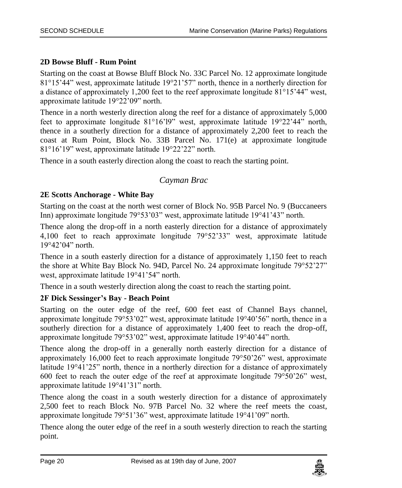#### **2D Bowse Bluff - Rum Point**

Starting on the coast at Bowse Bluff Block No. 33C Parcel No. 12 approximate longitude 81°15'44" west, approximate latitude 19°21'57" north, thence in a northerly direction for a distance of approximately 1,200 feet to the reef approximate longitude 81°15'44" west, approximate latitude 19°22'09" north.

Thence in a north westerly direction along the reef for a distance of approximately 5,000 feet to approximate longitude 81°16'l9" west, approximate latitude 19°22'44" north, thence in a southerly direction for a distance of approximately 2,200 feet to reach the coast at Rum Point, Block No. 33B Parcel No. 171(e) at approximate longitude 81°16'19" west, approximate latitude 19°22'22" north.

<span id="page-19-0"></span>Thence in a south easterly direction along the coast to reach the starting point.

#### *Cayman Brac*

#### **2E Scotts Anchorage - White Bay**

Starting on the coast at the north west corner of Block No. 95B Parcel No. 9 (Buccaneers Inn) approximate longitude 79°53'03" west, approximate latitude 19°41'43" north.

Thence along the drop-off in a north easterly direction for a distance of approximately 4,100 feet to reach approximate longitude 79°52'33" west, approximate latitude 19°42'04" north.

Thence in a south easterly direction for a distance of approximately 1,150 feet to reach the shore at White Bay Block No. 94D, Parcel No. 24 approximate longitude 79°52'27" west, approximate latitude 19°41'54" north.

Thence in a south westerly direction along the coast to reach the starting point.

#### **2F Dick Sessinger's Bay - Beach Point**

Starting on the outer edge of the reef, 600 feet east of Channel Bays channel, approximate longitude 79°53'02" west, approximate latitude 19°40'56" north, thence in a southerly direction for a distance of approximately 1,400 feet to reach the drop-off, approximate longitude 79°53'02" west, approximate latitude 19°40'44" north.

Thence along the drop-off in a generally north easterly direction for a distance of approximately 16,000 feet to reach approximate longitude 79°50'26" west, approximate latitude 19°41'25" north, thence in a northerly direction for a distance of approximately 600 feet to reach the outer edge of the reef at approximate longitude 79°50'26" west, approximate latitude 19°41'31" north.

Thence along the coast in a south westerly direction for a distance of approximately 2,500 feet to reach Block No. 97B Parcel No. 32 where the reef meets the coast, approximate longitude 79°51'36" west, approximate latitude 19°41'09" north.

Thence along the outer edge of the reef in a south westerly direction to reach the starting point.

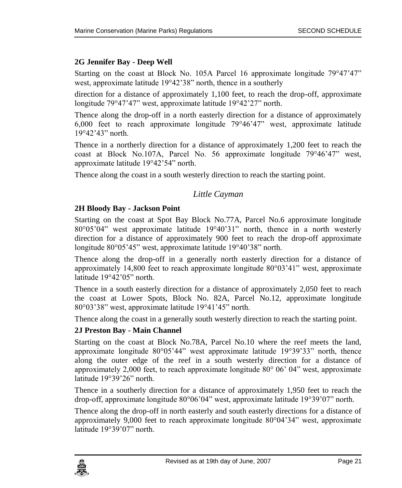#### **2G Jennifer Bay - Deep Well**

Starting on the coast at Block No. 105A Parcel 16 approximate longitude 79°47'47" west, approximate latitude 19°42'38" north, thence in a southerly

direction for a distance of approximately 1,100 feet, to reach the drop-off, approximate longitude 79°47'47" west, approximate latitude 19°42'27" north.

Thence along the drop-off in a north easterly direction for a distance of approximately 6,000 feet to reach approximate longitude 79°46'47" west, approximate latitude 19°42'43" north.

Thence in a northerly direction for a distance of approximately 1,200 feet to reach the coast at Block No.107A, Parcel No. 56 approximate longitude 79°46'47" west, approximate latitude 19°42'54" north.

<span id="page-20-0"></span>Thence along the coast in a south westerly direction to reach the starting point.

#### *Little Cayman*

#### **2H Bloody Bay - Jackson Point**

Starting on the coast at Spot Bay Block No.77A, Parcel No.6 approximate longitude 80°05'04" west approximate latitude 19°40'31" north, thence in a north westerly direction for a distance of approximately 900 feet to reach the drop-off approximate longitude 80°05'45" west, approximate latitude 19°40'38" north.

Thence along the drop-off in a generally north easterly direction for a distance of approximately 14,800 feet to reach approximate longitude  $80^{\circ}03'41''$  west, approximate latitude 19°42'05" north.

Thence in a south easterly direction for a distance of approximately 2,050 feet to reach the coast at Lower Spots, Block No. 82A, Parcel No.12, approximate longitude 80°03'38" west, approximate latitude 19°41'45" north.

Thence along the coast in a generally south westerly direction to reach the starting point.

#### **2J Preston Bay - Main Channel**

Starting on the coast at Block No.78A, Parcel No.10 where the reef meets the land, approximate longitude 80°05'44" west approximate latitude 19°39'33" north, thence along the outer edge of the reef in a south westerly direction for a distance of approximately 2,000 feet, to reach approximate longitude 80° 06' 04" west, approximate latitude 19°39'26" north.

Thence in a southerly direction for a distance of approximately 1,950 feet to reach the drop-off, approximate longitude 80°06'04" west, approximate latitude 19°39'07" north.

Thence along the drop-off in north easterly and south easterly directions for a distance of approximately 9,000 feet to reach approximate longitude 80°04'34" west, approximate latitude 19°39'07" north.

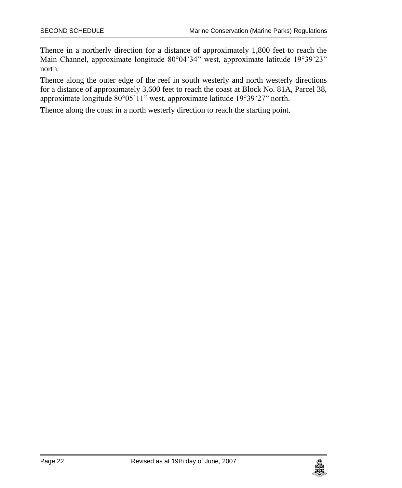Thence in a northerly direction for a distance of approximately 1,800 feet to reach the Main Channel, approximate longitude 80°04'34" west, approximate latitude 19°39'23" north.

Thence along the outer edge of the reef in south westerly and north westerly directions for a distance of approximately 3,600 feet to reach the coast at Block No. 81A, Parcel 38, approximate longitude 80°05'11" west, approximate latitude 19°39'27" north.

Thence along the coast in a north westerly direction to reach the starting point.

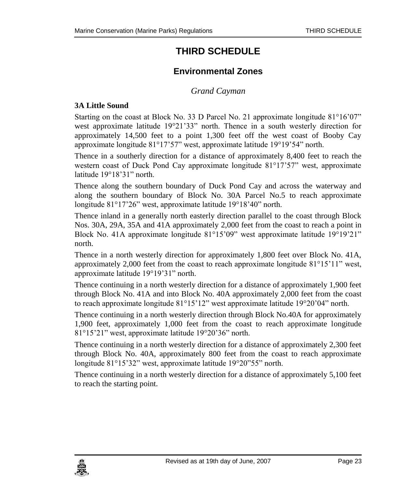## **THIRD SCHEDULE**

## **Environmental Zones**

#### *Grand Cayman*

#### <span id="page-22-2"></span><span id="page-22-1"></span><span id="page-22-0"></span>**3A Little Sound**

Starting on the coast at Block No. 33 D Parcel No. 21 approximate longitude 81°16'07" west approximate latitude 19°21'33" north. Thence in a south westerly direction for approximately 14,500 feet to a point 1,300 feet off the west coast of Booby Cay approximate longitude 81°17'57" west, approximate latitude 19°19'54" north.

Thence in a southerly direction for a distance of approximately 8,400 feet to reach the western coast of Duck Pond Cay approximate longitude 81°17'57" west, approximate latitude 19°18'31" north.

Thence along the southern boundary of Duck Pond Cay and across the waterway and along the southern boundary of Block No. 30A Parcel No.5 to reach approximate longitude 81°17'26" west, approximate latitude 19°18'40" north.

Thence inland in a generally north easterly direction parallel to the coast through Block Nos. 30A, 29A, 35A and 41A approximately 2,000 feet from the coast to reach a point in Block No. 41A approximate longitude 81°15'09" west approximate latitude 19°19'21" north.

Thence in a north westerly direction for approximately 1,800 feet over Block No. 41A, approximately 2,000 feet from the coast to reach approximate longitude 81°15'11" west, approximate latitude 19°19'31" north.

Thence continuing in a north westerly direction for a distance of approximately 1,900 feet through Block No. 41A and into Block No. 40A approximately 2,000 feet from the coast to reach approximate longitude 81°15'12" west approximate latitude 19°20'04" north.

Thence continuing in a north westerly direction through Block No.40A for approximately 1,900 feet, approximately 1,000 feet from the coast to reach approximate longitude 81°15'21" west, approximate latitude 19°20'36" north.

Thence continuing in a north westerly direction for a distance of approximately 2,300 feet through Block No. 40A, approximately 800 feet from the coast to reach approximate longitude 81°15'32" west, approximate latitude 19°20"55" north.

Thence continuing in a north westerly direction for a distance of approximately 5,100 feet to reach the starting point.

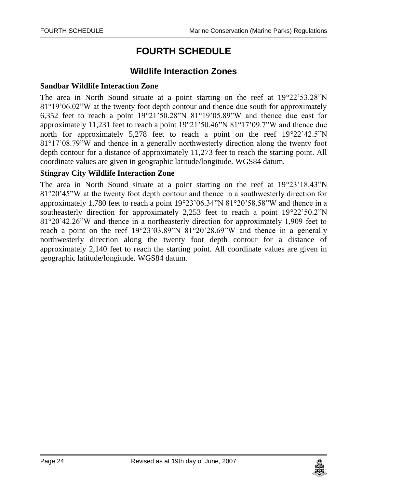## **FOURTH SCHEDULE**

#### **Wildlife Interaction Zones**

#### <span id="page-23-1"></span><span id="page-23-0"></span>**Sandbar Wildlife Interaction Zone**

The area in North Sound situate at a point starting on the reef at 19°22'53.28"N 81°19'06.02"W at the twenty foot depth contour and thence due south for approximately 6,352 feet to reach a point 19°21'50.28"N 81°19'05.89"W and thence due east for approximately 11,231 feet to reach a point 19°21'50.46"N 81°17'09.7"W and thence due north for approximately 5,278 feet to reach a point on the reef  $19^{\circ}22'42.5''N$ 81°17'08.79"W and thence in a generally northwesterly direction along the twenty foot depth contour for a distance of approximately 11,273 feet to reach the starting point. All coordinate values are given in geographic latitude/longitude. WGS84 datum.

#### **Stingray City Wildlife Interaction Zone**

The area in North Sound situate at a point starting on the reef at  $19^{\circ}23'18.43''N$ 81°20'45"W at the twenty foot depth contour and thence in a southwesterly direction for approximately 1,780 feet to reach a point 19°23'06.34"N 81°20'58.58"W and thence in a southeasterly direction for approximately 2,253 feet to reach a point 19°22'50.2"N 81°20'42.26"W and thence in a northeasterly direction for approximately 1,909 feet to reach a point on the reef 19°23'03.89"N 81°20'28.69"W and thence in a generally northwesterly direction along the twenty foot depth contour for a distance of approximately 2,140 feet to reach the starting point. All coordinate values are given in geographic latitude/longitude. WGS84 datum.

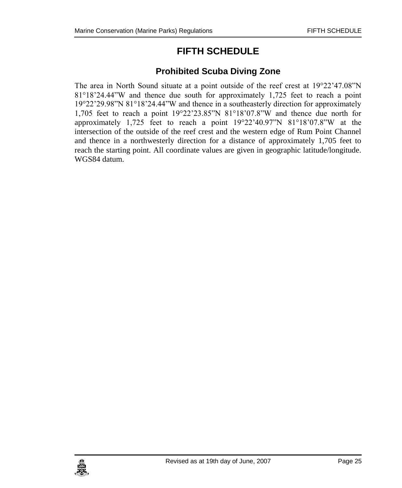## **FIFTH SCHEDULE**

### **Prohibited Scuba Diving Zone**

<span id="page-24-1"></span><span id="page-24-0"></span>The area in North Sound situate at a point outside of the reef crest at 19°22'47.08"N 81°18'24.44"W and thence due south for approximately 1,725 feet to reach a point 19°22'29.98"N 81°18'24.44"W and thence in a southeasterly direction for approximately 1,705 feet to reach a point 19°22'23.85"N 81°18'07.8"W and thence due north for approximately 1,725 feet to reach a point  $19^{\circ}22'40.97''N$  81°18'07.8"W at the intersection of the outside of the reef crest and the western edge of Rum Point Channel and thence in a northwesterly direction for a distance of approximately 1,705 feet to reach the starting point. All coordinate values are given in geographic latitude/longitude. WGS84 datum.

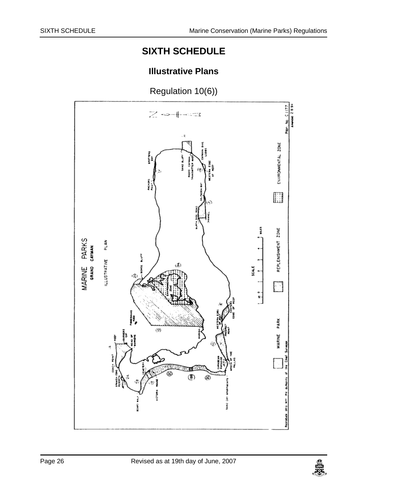## **SIXTH SCHEDULE**

## **Illustrative Plans**

<span id="page-25-1"></span><span id="page-25-0"></span>Regulation 10(6)) $71177$  $z \sim + -3$ ENVIRONMENTAL ZONE anytyna<br>Album Anchors<br>Point I š REPLENISHMENT ZONE MARINE PARKS<br>GRAND CAYMAN PLAN ì **ILLUSTRATIVE** icALE ۾،  $\mathbb{Z}$  $\frac{1}{2}$ į, PARK  $\left( 2\right)$ **MARINE** (∰) ශ 1440 CAY

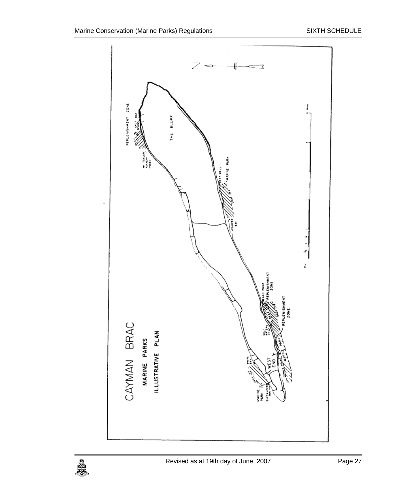

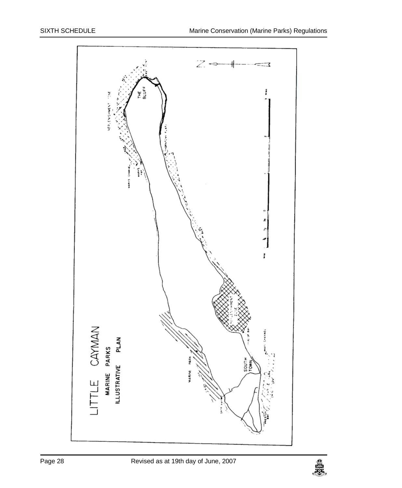

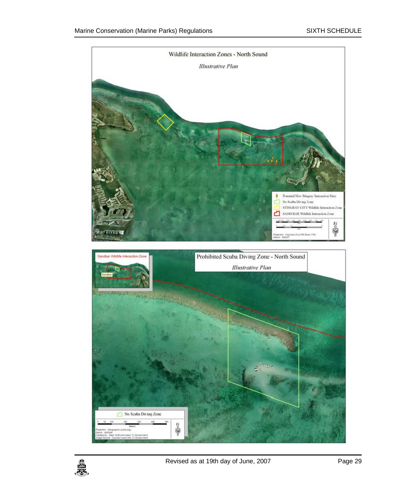